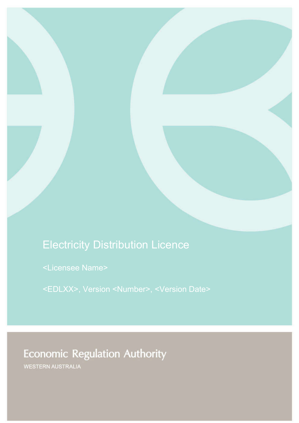# Electricity Distribution Licence

<Licensee Name>

<EDLXX>, Version <Number>, <Version Date>

# **Economic Regulation Authority**

WESTERN AUSTRALIA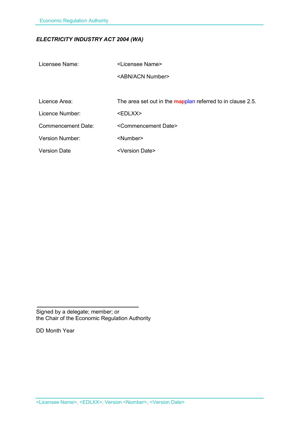# *ELECTRICITY INDUSTRY ACT 2004 (WA)*

Licensee Name: <Licensee Name>

<ABN/ACN Number>

Licence Area: The area set out in the mapplan referred to in clause 2.5.

Licence Number: <EDLXX>

Commencement Date: <Commencement Date>

Version Number: <Number>

Version Date <Version Date>

Signed by a delegate; member; or the Chair of the Economic Regulation Authority

DD Month Year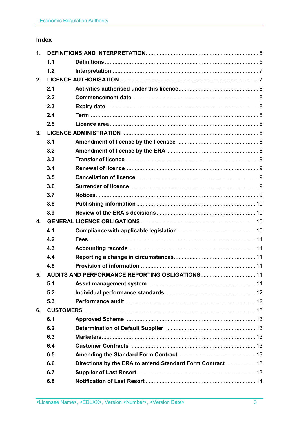# Index

| 1.           |     |                                                          |  |
|--------------|-----|----------------------------------------------------------|--|
|              | 1.1 |                                                          |  |
|              | 1.2 |                                                          |  |
| 2.           |     |                                                          |  |
|              | 2.1 |                                                          |  |
|              | 2.2 |                                                          |  |
|              | 2.3 |                                                          |  |
|              | 2.4 |                                                          |  |
|              | 2.5 |                                                          |  |
| 3.           |     |                                                          |  |
|              | 3.1 |                                                          |  |
|              | 3.2 |                                                          |  |
|              | 3.3 |                                                          |  |
|              | 3.4 |                                                          |  |
|              | 3.5 |                                                          |  |
|              | 3.6 |                                                          |  |
|              | 3.7 |                                                          |  |
|              | 3.8 |                                                          |  |
|              | 3.9 |                                                          |  |
| $\mathbf{4}$ |     |                                                          |  |
|              | 4.1 |                                                          |  |
|              | 4.2 |                                                          |  |
|              | 4.3 |                                                          |  |
|              | 4.4 |                                                          |  |
|              | 4.5 |                                                          |  |
| 5.           |     |                                                          |  |
|              | 5.1 |                                                          |  |
|              | 5.2 |                                                          |  |
|              | 5.3 |                                                          |  |
| 6.           |     |                                                          |  |
|              | 6.1 |                                                          |  |
|              | 6.2 |                                                          |  |
|              | 6.3 |                                                          |  |
|              | 6.4 |                                                          |  |
|              | 6.5 |                                                          |  |
|              | 6.6 | Directions by the ERA to amend Standard Form Contract 13 |  |
|              | 6.7 |                                                          |  |
|              | 6.8 |                                                          |  |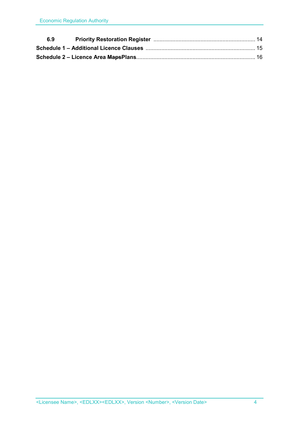| 6.9 |  |
|-----|--|
|     |  |
|     |  |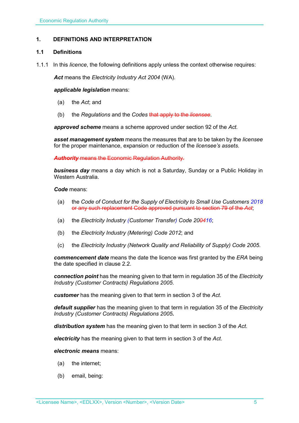# **1. DEFINITIONS AND INTERPRETATION**

# **1.1 Definitions**

1.1.1 In this *licence*, the following definitions apply unless the context otherwise requires:

*Act* means the *Electricity Industry Act 2004* (WA).

#### *applicable legislation* means:

- (a) the *Act*; and
- (b) the *Regulations* and the *Codes* that apply to the *licensee*.

*approved scheme* means a scheme approved under section 92 of the *Act.* 

*asset management system* means the measures that are to be taken by the *licensee* for the proper maintenance, expansion or reduction of the *licensee's assets*.

*Authority* means the Economic Regulation Authority.

*business day* means a day which is not a Saturday, Sunday or a Public Holiday in Western Australia.

*Code* means:

- (a) the *Code of Conduct for the Supply of Electricity to Small Use Customers 2018* or any such replacement Code approved pursuant to section 79 of the *Act*;
- (a) the *Electricity Industry (Customer Transfer) Code 200416*;
- (b) the *Electricity Industry (Metering) Code 2012*; and
- (c) the *Electricity Industry (Network Quality and Reliability of Supply) Code 2005*.

*commencement date* means the date the licence was first granted by the *ERA* being the date specified in clause 2.2.

*connection point* has the meaning given to that term in regulation 35 of the *Electricity Industry (Customer Contracts) Regulations 2005*.

*customer* has the meaning given to that term in section 3 of the *Act*.

*default supplier* has the meaning given to that term in regulation 35 of the *Electricity Industry (Customer Contracts) Regulations 2005.*

*distribution system* has the meaning given to that term in section 3 of the *Act*.

*electricity* has the meaning given to that term in section 3 of the *Act*.

#### *electronic means* means:

- (a) the internet;
- (b) email, being: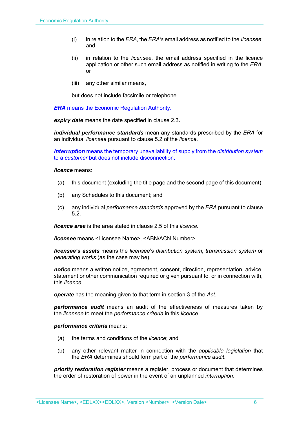- (i) in relation to the *ERA*, the *ERA's* email address as notified to the *licensee*; and
- (ii) in relation to the *licensee*, the email address specified in the licence application or other such email address as notified in writing to the *ERA*; or
- (iii) any other similar means,

but does not include facsimile or telephone.

*ERA* means the Economic Regulation Authority.

*expiry date* means the date specified in clause 2.3*.*

*individual performance standards* mean any standards prescribed by the *ERA* for an individual *licensee* pursuant to clause 5.2 of the *licence*.

*interruption* means the temporary unavailability of supply from the *distribution system* to a *customer* but does not include disconnection.

#### *licence* means:

- (a) this document (excluding the title page and the second page of this document);
- (b) any Schedules to this document; and
- (c) any individual *performance standards* approved by the *ERA* pursuant to clause 5.2.

*licence area* is the area stated in clause 2.5 of this *licence.*

*licensee* means <Licensee Name>, <ABN/ACN Number> .

*licensee's assets* means the *licensee*'s *distribution system*, *transmission system* or *generating works* (as the case may be).

*notice* means a written notice, agreement, consent, direction, representation, advice, statement or other communication required or given pursuant to, or in connection with, this *licence*.

*operate* has the meaning given to that term in section 3 of the *Act*.

*performance audit* means an audit of the effectiveness of measures taken by the *licensee* to meet the *performance criteria* in this *licence*.

#### *performance criteria* means:

- (a) the terms and conditions of the *licence*; and
- (b) any other relevant matter in connection with the *applicable legislation* that the *ERA* determines should form part of the *performance audit*.

*priority restoration register* means a register, process or document that determines the order of restoration of power in the event of an unplanned *interruption*.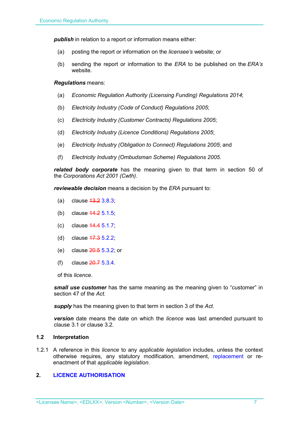**publish** in relation to a report or information means either:

- (a) posting the report or information on the *licensee's* website; or
- (b) sending the report or information to the *ERA* to be published on the *ERA's* website.

#### *Regulations* means:

- (a) *Economic Regulation Authority (Licensing Funding) Regulations 2014*;
- (b) *Electricity Industry (Code of Conduct) Regulations 2005*;
- (c) *Electricity Industry (Customer Contracts) Regulations 2005*;
- (d) *Electricity Industry (Licence Conditions) Regulations 2005*;
- (e) *Electricity Industry (Obligation to Connect) Regulations 2005*; and
- (f) *Electricity Industry (Ombudsman Scheme) Regulations 2005.*

*related body corporate* has the meaning given to that term in section 50 of the *Corporations Act 2001 (Cwth)*.

*reviewable decision* means a decision by the *ERA* pursuant to:

- (a) clause 13.2 3.8.3;
- (b) clause 14.2 5.1.5;
- (c) clause 14.4 5.1.7;
- (d) clause 17.3 5.2.2;
- (e) clause 20.5 5.3.2; or
- (f) clause 20.7 5.3.4.

of this *licence*.

*small use customer* has the same meaning as the meaning given to "customer" in section 47 of the *Act*.

*supply* has the meaning given to that term in section 3 of the *Act*.

*version* date means the date on which the *licence* was last amended pursuant to clause 3.1 or clause 3.2.

#### **1.2 Interpretation**

1.2.1 A reference in this *licence* to any *applicable legislation* includes, unless the context otherwise requires, any statutory modification, amendment, replacement or reenactment of that *applicable legislation*.

# **2. LICENCE AUTHORISATION**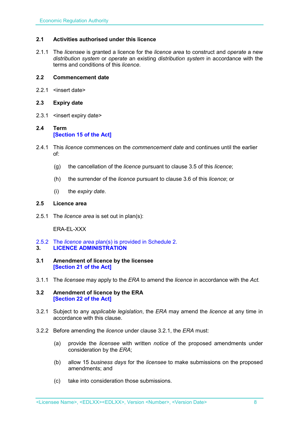# **2.1 Activities authorised under this licence**

2.1.1 The *licensee* is granted a licence for the *licence area* to construct and *operate* a new *distribution system* or *operate* an existing *distribution system* in accordance with the terms and conditions of this *licence*.

#### **2.2 Commencement date**

2.2.1 <insert date>

#### **2.3 Expiry date**

2.3.1 <insert expiry date>

# **2.4 Term [Section 15 of the Act]**

- 2.4.1 This *licence* commences on the *commencement date* and continues until the earlier of:
	- (g) the cancellation of the *licence* pursuant to clause 3.5 of this *licence*;
	- (h) the surrender of the *licence* pursuant to clause 3.6 of this *licence*; or
	- (i) the *expiry date*.

#### **2.5 Licence area**

2.5.1 The *licence area* is set out in plan(s):

ERA-EL-XXX

- 2.5.2 The *licence area* plan(s) is provided in Schedule 2.
- **3. LICENCE ADMINISTRATION**
- **3.1 Amendment of licence by the licensee [Section 21 of the Act]**
- 3.1.1 The *licensee* may apply to the *ERA* to amend the *licence* in accordance with the *Act.*
- **3.2 Amendment of licence by the ERA [Section 22 of the Act]**
- 3.2.1 Subject to any *applicable legislation*, the *ERA* may amend the *licence* at any time in accordance with this clause.
- 3.2.2 Before amending the *licence* under clause 3.2.1, the *ERA* must:
	- (a) provide the *licensee* with written *notice* of the proposed amendments under consideration by the *ERA*;
	- (b) allow 15 *business days* for the *licensee* to make submissions on the proposed amendments; and
	- (c) take into consideration those submissions.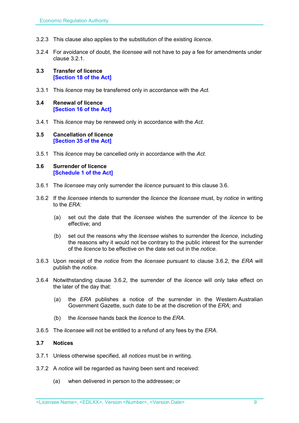- 3.2.3 This clause also applies to the substitution of the existing *licence*.
- 3.2.4 For avoidance of doubt, the *licensee* will not have to pay a fee for amendments under clause 3.2.1.
- **3.3 Transfer of licence [Section 18 of the Act]**
- 3.3.1 This *licence* may be transferred only in accordance with the *Act.*
- **3.4 Renewal of licence [Section 16 of the Act]**
- 3.4.1 This *licence* may be renewed only in accordance with the *Act*.

#### **3.5 Cancellation of licence [Section 35 of the Act]**

3.5.1 This *licence* may be cancelled only in accordance with the *Act*.

#### **3.6 Surrender of licence [Schedule 1 of the Act]**

- 3.6.1 The *licensee* may only surrender the *licence* pursuant to this clause 3.6.
- 3.6.2 If the *licensee* intends to surrender the *licence* the *licensee* must, by *notice* in writing to the *ERA*:
	- (a) set out the date that the *licensee* wishes the surrender of the *licence* to be effective; and
	- (b) set out the reasons why the *licensee* wishes to surrender the *licence*, including the reasons why it would not be contrary to the public interest for the surrender of the *licence* to be effective on the date set out in the *notice*.
- 3.6.3 Upon receipt of the *notice* from the *licensee* pursuant to clause 3.6.2, the *ERA* will publish the *notice*.
- 3.6.4 Notwithstanding clause 3.6.2, the surrender of the *licence* will only take effect on the later of the day that:
	- (a) the *ERA* publishes a notice of the surrender in the Western Australian Government Gazette, such date to be at the discretion of the *ERA*; and
	- (b) the *licensee* hands back the *licence* to the *ERA*.
- 3.6.5 The *licensee* will not be entitled to a refund of any fees by the *ERA*.

#### **3.7 Notices**

- 3.7.1 Unless otherwise specified, all *notices* must be in writing.
- 3.7.2 A *notice* will be regarded as having been sent and received:
	- (a) when delivered in person to the addressee; or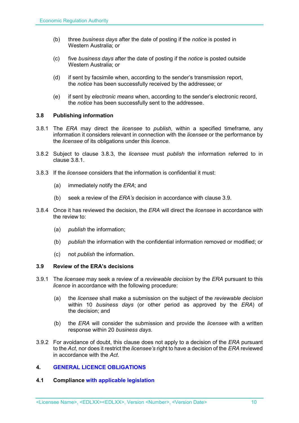- (b) three *business days* after the date of posting if the *notice* is posted in Western Australia; or
- (c) five *business days* after the date of posting if the *notice* is posted outside Western Australia; or
- (d) if sent by facsimile when, according to the sender's transmission report, the *notice* has been successfully received by the addressee; or
- (e) if sent by *electronic means* when, according to the sender's electronic record, the *notice* has been successfully sent to the addressee.

# **3.8 Publishing information**

- 3.8.1 The *ERA* may direct the *licensee* to *publish*, within a specified timeframe, any information it considers relevant in connection with the *licensee* or the performance by the *licensee* of its obligations under this *licence*.
- 3.8.2 Subject to clause 3.8.3, the *licensee* must *publish* the information referred to in clause 3.8.1.
- 3.8.3 If the *licensee* considers that the information is confidential it must:
	- (a) immediately notify the *ERA*; and
	- (b) seek a review of the *ERA's* decision in accordance with clause 3.9.
- 3.8.4 Once it has reviewed the decision, the *ERA* will direct the *licensee* in accordance with the review to:
	- (a) *publish* the information;
	- (b) *publish* the information with the confidential information removed or modified; or
	- (c) not *publish* the information.

#### **3.9 Review of the ERA's decisions**

- 3.9.1 The *licensee* may seek a review of a *reviewable decision* by the *ERA* pursuant to this *licence* in accordance with the following procedure:
	- (a) the *licensee* shall make a submission on the subject of the *reviewable decision* within 10 *business days* (or other period as approved by the *ERA*) of the decision; and
	- (b) the *ERA* will consider the submission and provide the *licensee* with a written response within 20 *business days*.
- 3.9.2 For avoidance of doubt, this clause does not apply to a decision of the *ERA* pursuant to the *Act*, nor does it restrict the *licensee's* right to have a decision of the *ERA* reviewed in accordance with the *Act*.

# **4. GENERAL LICENCE OBLIGATIONS**

# **4.1 Compliance with applicable legislation**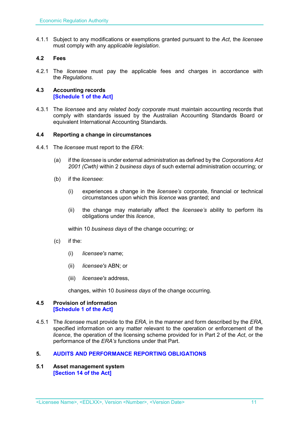4.1.1 Subject to any modifications or exemptions granted pursuant to the *Act*, the *licensee* must comply with any *applicable legislation*.

# **4.2 Fees**

4.2.1 The *licensee* must pay the applicable fees and charges in accordance with the *Regulations*.

#### **4.3 Accounting records [Schedule 1 of the Act]**

4.3.1 The *licensee* and any *related body corporate* must maintain accounting records that comply with standards issued by the Australian Accounting Standards Board or equivalent International Accounting Standards.

#### **4.4 Reporting a change in circumstances**

- 4.4.1 The *licensee* must report to the *ERA*:
	- (a) if the *licensee* is under external administration as defined by the *Corporations Act 2001 (Cwth)* within 2 *business days* of such external administration occurring; or
	- (b) if the *licensee*:
		- (i) experiences a change in the *licensee's* corporate, financial or technical circumstances upon which this *licence* was granted; and
		- (ii) the change may materially affect the *licensee's* ability to perform its obligations under this *licence*,

within 10 *business days* of the change occurring; or

- (c) if the:
	- (i) *licensee's* name;
	- (ii) *licensee's* ABN; or
	- (iii) *licensee's* address,

changes, within 10 *business days* of the change occurring.

#### **4.5 Provision of information [Schedule 1 of the Act]**

4.5.1 The *licensee* must provide to the *ERA,* in the manner and form described by the *ERA,*  specified information on any matter relevant to the operation or enforcement of the *licence*, the operation of the licensing scheme provided for in Part 2 of the *Act*, or the performance of the *ERA's* functions under that Part.

# **5. AUDITS AND PERFORMANCE REPORTING OBLIGATIONS**

**5.1 Asset management system [Section 14 of the Act]**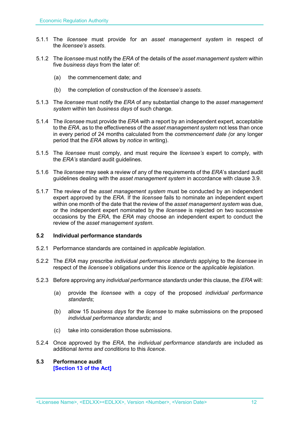- 5.1.1 The *licensee* must provide for an *asset management system* in respect of the *licensee's assets*.
- 5.1.2 The *licensee* must notify the *ERA* of the details of the *asset management system* within five *business days* from the later of:
	- (a) the commencement date; and
	- (b) the completion of construction of the *licensee's assets*.
- 5.1.3 The *licensee* must notify the *ERA* of any substantial change to the *asset management system* within ten *business days* of such change.
- 5.1.4 The *licensee* must provide the *ERA* with a report by an independent expert, acceptable to the *ERA*, as to the effectiveness of the *asset management system* not less than once in every period of 24 months calculated from the *commencement date (*or any longer period that the *ERA* allows by *notice* in writing).
- 5.1.5 The *licensee* must comply, and must require the *licensee's* expert to comply, with the *ERA's* standard audit guidelines.
- 5.1.6 The *licensee* may seek a review of any of the requirements of the *ERA*'s standard audit guidelines dealing with the *asset management system* in accordance with clause 3.9.
- 5.1.7 The review of the *asset management system* must be conducted by an independent expert approved by the *ERA*. If the *licensee* fails to nominate an independent expert within one month of the date that the review of the *asset management system* was due, or the independent expert nominated by the *licensee* is rejected on two successive occasions by the *ERA*, the *ERA* may choose an independent expert to conduct the review of the *asset management system*.

#### **5.2 Individual performance standards**

- 5.2.1 Performance standards are contained in *applicable legislation*.
- 5.2.2 The *ERA* may prescribe *individual performance standards* applying to the *licensee* in respect of the *licensee's* obligations under this *licence* or the *applicable legislation*.
- 5.2.3 Before approving any *individual performance standards* under this clause, the *ERA* will:
	- (a) provide the *licensee* with a copy of the proposed *individual performance standards*;
	- (b) allow 15 *business days* for the *licensee* to make submissions on the proposed *individual performance standards*; and
	- (c) take into consideration those submissions.
- 5.2.4 Once approved by the *ERA*, the *individual performance standards* are included as additional *terms and conditions* to this *licence*.

#### **5.3 Performance audit [Section 13 of the Act]**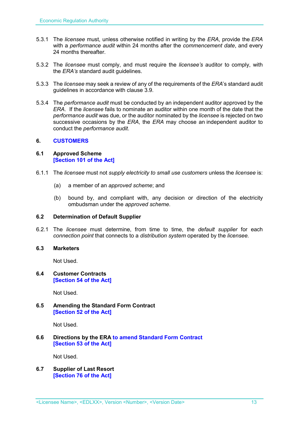- 5.3.1 The *licensee* must, unless otherwise notified in writing by the *ERA*, provide the *ERA* with a *performance audit* within 24 months after the *commencement date*, and every 24 months thereafter.
- 5.3.2 The *licensee* must comply, and must require the *licensee's* auditor to comply, with the *ERA's* standard audit guidelines.
- 5.3.3 The *licensee* may seek a review of any of the requirements of the *ERA*'s standard audit guidelines in accordance with clause 3.9.
- 5.3.4 The *performance audit* must be conducted by an independent auditor approved by the *ERA*. If the *licensee* fails to nominate an auditor within one month of the date that the *performance audit* was due, or the auditor nominated by the *licensee* is rejected on two successive occasions by the *ERA*, the *ERA* may choose an independent auditor to conduct the *performance audit*.

# **6. CUSTOMERS**

# **6.1 Approved Scheme [Section 101 of the Act]**

- 6.1.1 The *licensee* must not *supply electricity to small use customers* unless the *licensee* is:
	- (a) a member of an *approved scheme*; and
	- (b) bound by, and compliant with, any decision or direction of the electricity ombudsman under the *approved scheme*.

# **6.2 Determination of Default Supplier**

6.2.1 The *licensee* must determine, from time to time, the *default supplier* for each *connection point* that connects to a *distribution system* operated by the *licensee.*

# **6.3 Marketers**

Not Used.

#### **6.4 Customer Contracts [Section 54 of the Act]**

Not Used.

#### **6.5 Amending the Standard Form Contract [Section 52 of the Act]**

Not Used.

# **6.6 Directions by the ERA to amend Standard Form Contract [Section 53 of the Act]**

Not Used.

**6.7 Supplier of Last Resort [Section 76 of the Act]**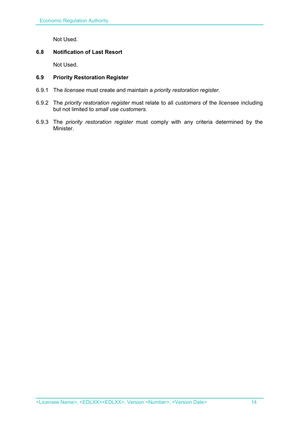Not Used.

# **6.8 Notification of Last Resort**

Not Used.

# **6.9 Priority Restoration Register**

- 6.9.1 The *licensee* must create and maintain a *priority restoration register.*
- 6.9.2 The *priority restoration register* must relate to all *customers* of the *licensee* including but not limited to *small use customers.*
- 6.9.3 The *priority restoration register* must comply with any criteria determined by the Minister.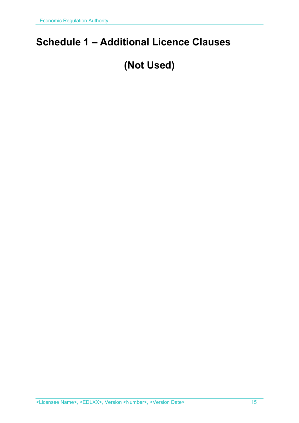# **Schedule 1 – Additional Licence Clauses**

# **(Not Used)**

<Licensee Name>, <EDLXX>, Version <Number>, <Version Date> 15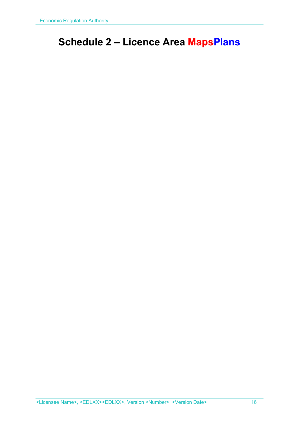# **Schedule 2 – Licence Area MapsPlans**